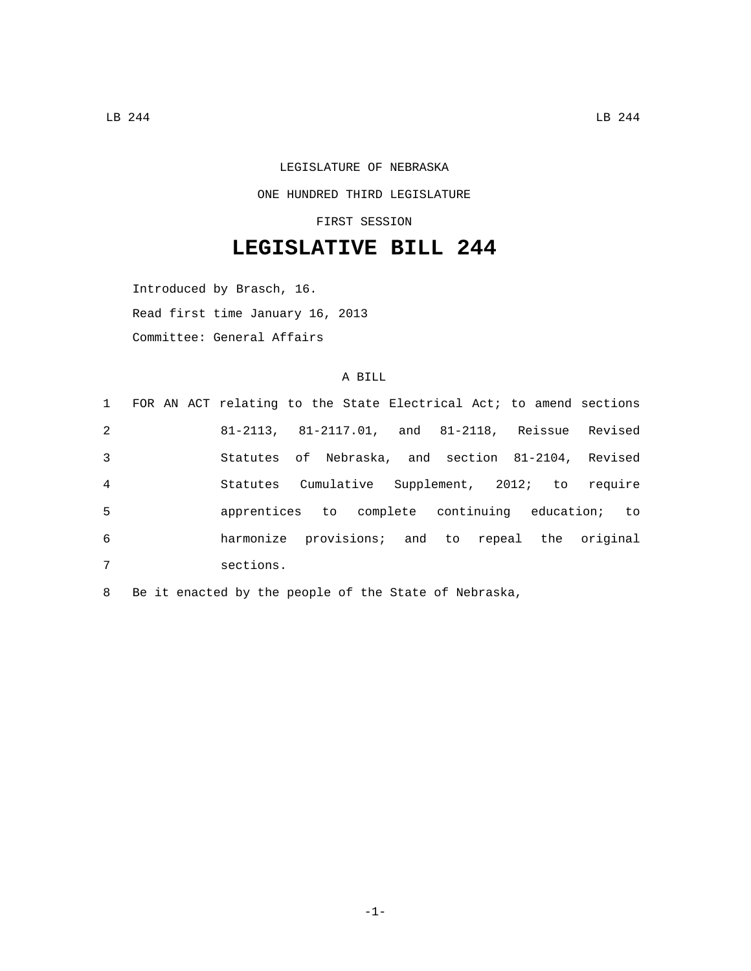## LEGISLATURE OF NEBRASKA ONE HUNDRED THIRD LEGISLATURE

FIRST SESSION

## **LEGISLATIVE BILL 244**

Introduced by Brasch, 16. Read first time January 16, 2013 Committee: General Affairs

## A BILL

|                |  | 1 FOR AN ACT relating to the State Electrical Act; to amend sections |  |  |  |  |  |
|----------------|--|----------------------------------------------------------------------|--|--|--|--|--|
| 2              |  | 81-2113, 81-2117.01, and 81-2118, Reissue Revised                    |  |  |  |  |  |
| 3              |  | Statutes of Nebraska, and section 81-2104, Revised                   |  |  |  |  |  |
| $\overline{4}$ |  | Statutes Cumulative Supplement, 2012; to require                     |  |  |  |  |  |
| 5              |  | apprentices to complete continuing education; to                     |  |  |  |  |  |
| 6              |  | harmonize provisions; and to repeal the original                     |  |  |  |  |  |
| 7              |  | sections.                                                            |  |  |  |  |  |

8 Be it enacted by the people of the State of Nebraska,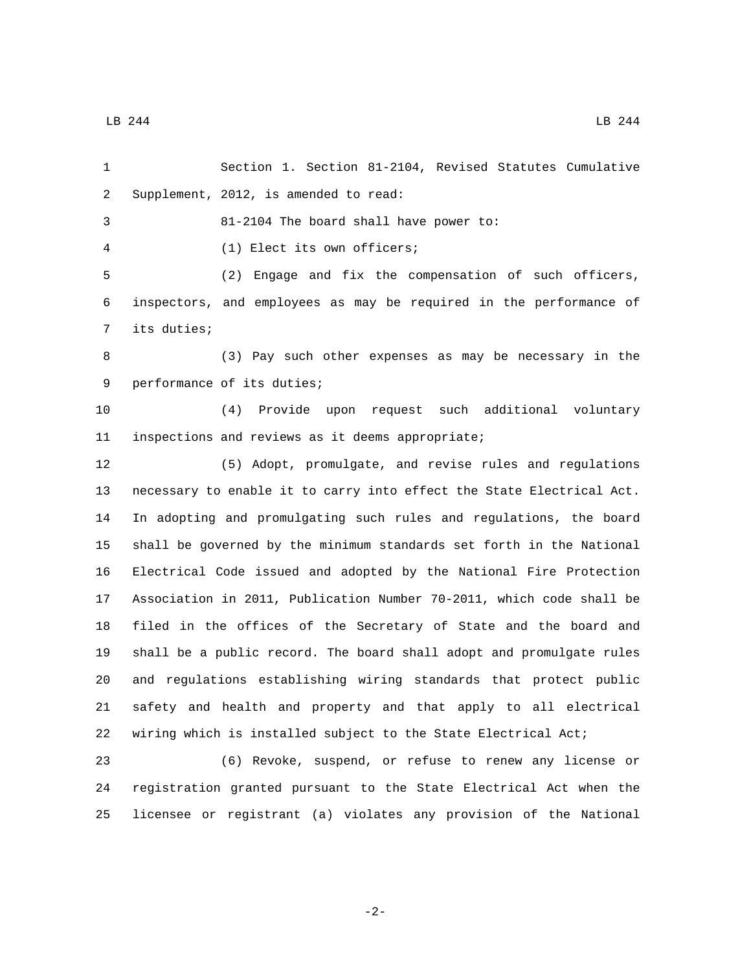Section 1. Section 81-2104, Revised Statutes Cumulative 2 Supplement, 2012, is amended to read: 81-2104 The board shall have power to: (1) Elect its own officers;4 (2) Engage and fix the compensation of such officers, inspectors, and employees as may be required in the performance of 7 its duties; (3) Pay such other expenses as may be necessary in the 9 performance of its duties; (4) Provide upon request such additional voluntary 11 inspections and reviews as it deems appropriate; (5) Adopt, promulgate, and revise rules and regulations necessary to enable it to carry into effect the State Electrical Act. In adopting and promulgating such rules and regulations, the board shall be governed by the minimum standards set forth in the National Electrical Code issued and adopted by the National Fire Protection Association in 2011, Publication Number 70-2011, which code shall be filed in the offices of the Secretary of State and the board and shall be a public record. The board shall adopt and promulgate rules and regulations establishing wiring standards that protect public safety and health and property and that apply to all electrical wiring which is installed subject to the State Electrical Act;

 (6) Revoke, suspend, or refuse to renew any license or registration granted pursuant to the State Electrical Act when the licensee or registrant (a) violates any provision of the National

 $\text{LB}$  244 LB 244

-2-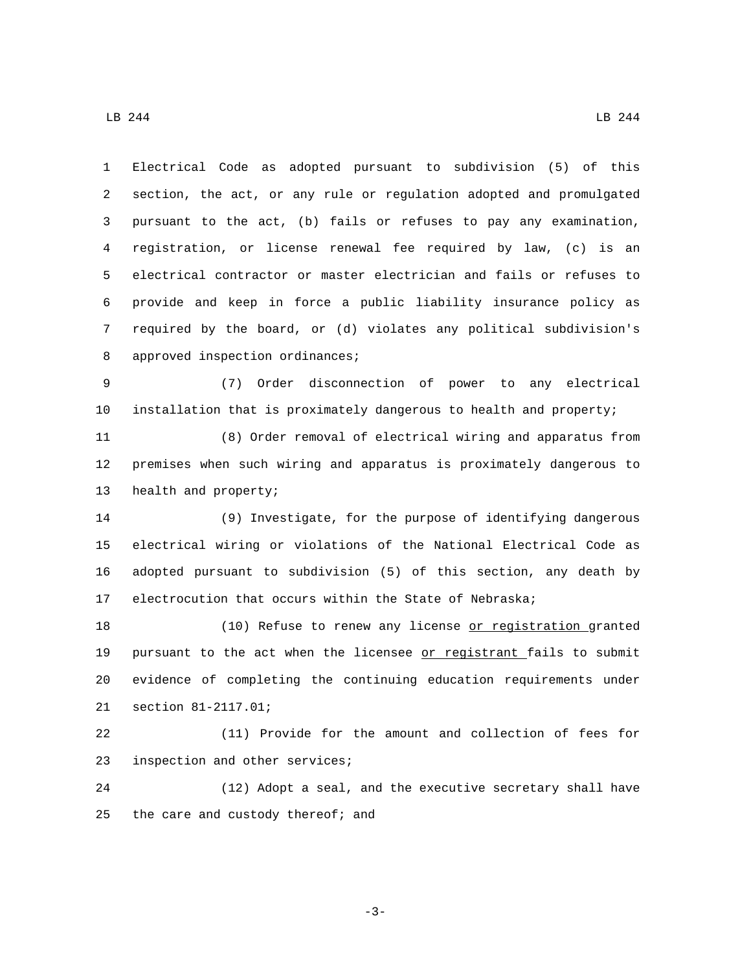Electrical Code as adopted pursuant to subdivision (5) of this section, the act, or any rule or regulation adopted and promulgated pursuant to the act, (b) fails or refuses to pay any examination, registration, or license renewal fee required by law, (c) is an electrical contractor or master electrician and fails or refuses to provide and keep in force a public liability insurance policy as required by the board, or (d) violates any political subdivision's 8 approved inspection ordinances;

 (7) Order disconnection of power to any electrical installation that is proximately dangerous to health and property;

 (8) Order removal of electrical wiring and apparatus from premises when such wiring and apparatus is proximately dangerous to 13 health and property;

 (9) Investigate, for the purpose of identifying dangerous electrical wiring or violations of the National Electrical Code as adopted pursuant to subdivision (5) of this section, any death by electrocution that occurs within the State of Nebraska;

 (10) Refuse to renew any license or registration granted 19 pursuant to the act when the licensee or registrant fails to submit evidence of completing the continuing education requirements under 21 section 81-2117.01;

 (11) Provide for the amount and collection of fees for 23 inspection and other services;

 (12) Adopt a seal, and the executive secretary shall have 25 the care and custody thereof; and

-3-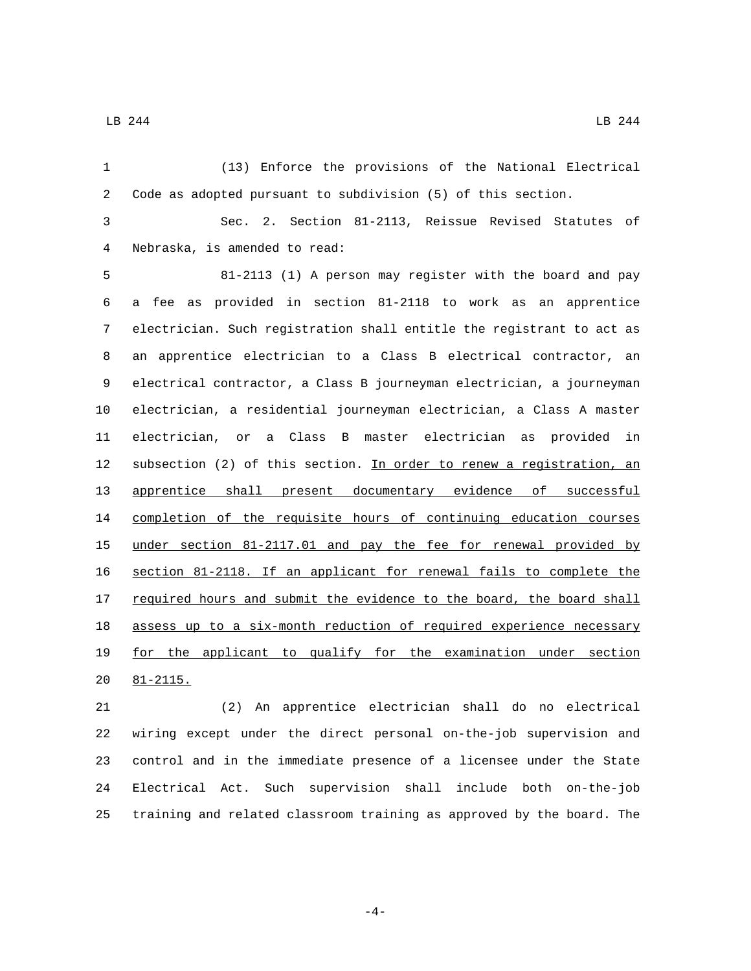$\text{LB}$  244 LB 244

 (13) Enforce the provisions of the National Electrical Code as adopted pursuant to subdivision (5) of this section. Sec. 2. Section 81-2113, Reissue Revised Statutes of Nebraska, is amended to read:4 81-2113 (1) A person may register with the board and pay a fee as provided in section 81-2118 to work as an apprentice electrician. Such registration shall entitle the registrant to act as an apprentice electrician to a Class B electrical contractor, an electrical contractor, a Class B journeyman electrician, a journeyman electrician, a residential journeyman electrician, a Class A master electrician, or a Class B master electrician as provided in 12 subsection (2) of this section. In order to renew a registration, an apprentice shall present documentary evidence of successful completion of the requisite hours of continuing education courses under section 81-2117.01 and pay the fee for renewal provided by section 81-2118. If an applicant for renewal fails to complete the 17 required hours and submit the evidence to the board, the board shall 18 assess up to a six-month reduction of required experience necessary for the applicant to qualify for the examination under section 20 81-2115. (2) An apprentice electrician shall do no electrical

 wiring except under the direct personal on-the-job supervision and control and in the immediate presence of a licensee under the State Electrical Act. Such supervision shall include both on-the-job training and related classroom training as approved by the board. The

-4-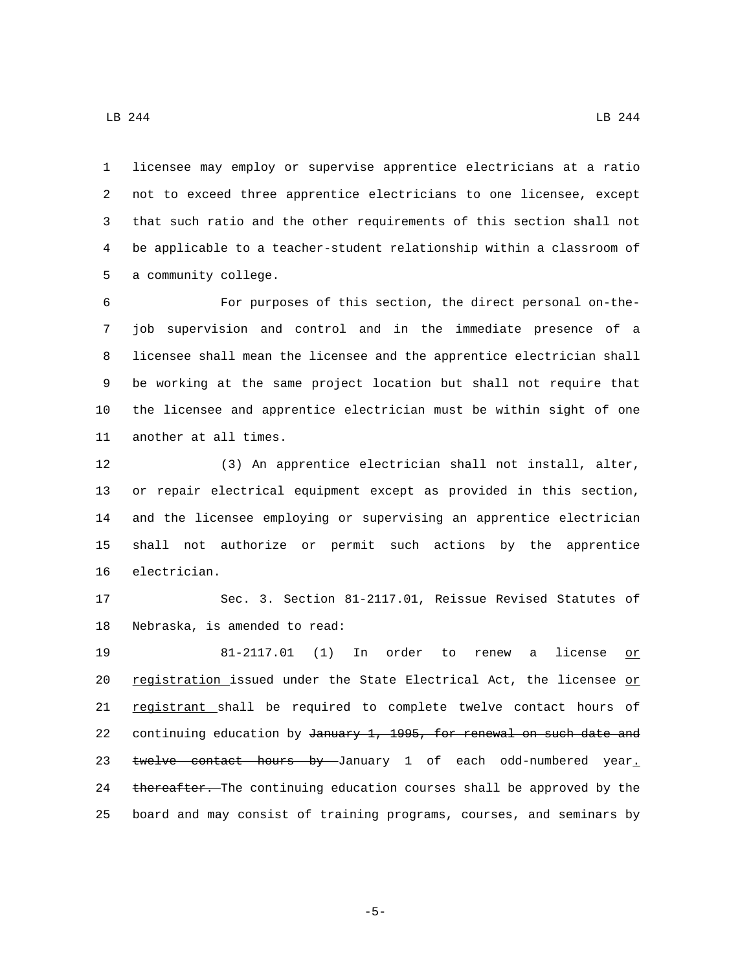licensee may employ or supervise apprentice electricians at a ratio not to exceed three apprentice electricians to one licensee, except that such ratio and the other requirements of this section shall not be applicable to a teacher-student relationship within a classroom of 5 a community college.

 For purposes of this section, the direct personal on-the- job supervision and control and in the immediate presence of a licensee shall mean the licensee and the apprentice electrician shall be working at the same project location but shall not require that the licensee and apprentice electrician must be within sight of one 11 another at all times.

 (3) An apprentice electrician shall not install, alter, or repair electrical equipment except as provided in this section, and the licensee employing or supervising an apprentice electrician shall not authorize or permit such actions by the apprentice 16 electrician.

17 Sec. 3. Section 81-2117.01, Reissue Revised Statutes of 18 Nebraska, is amended to read:

19 81-2117.01 (1) In order to renew a license or 20 registration issued under the State Electrical Act, the licensee or 21 registrant shall be required to complete twelve contact hours of 22 continuing education by January 1, 1995, for renewal on such date and 23 twelve contact hours by January 1 of each odd-numbered year. 24 thereafter. The continuing education courses shall be approved by the 25 board and may consist of training programs, courses, and seminars by

-5-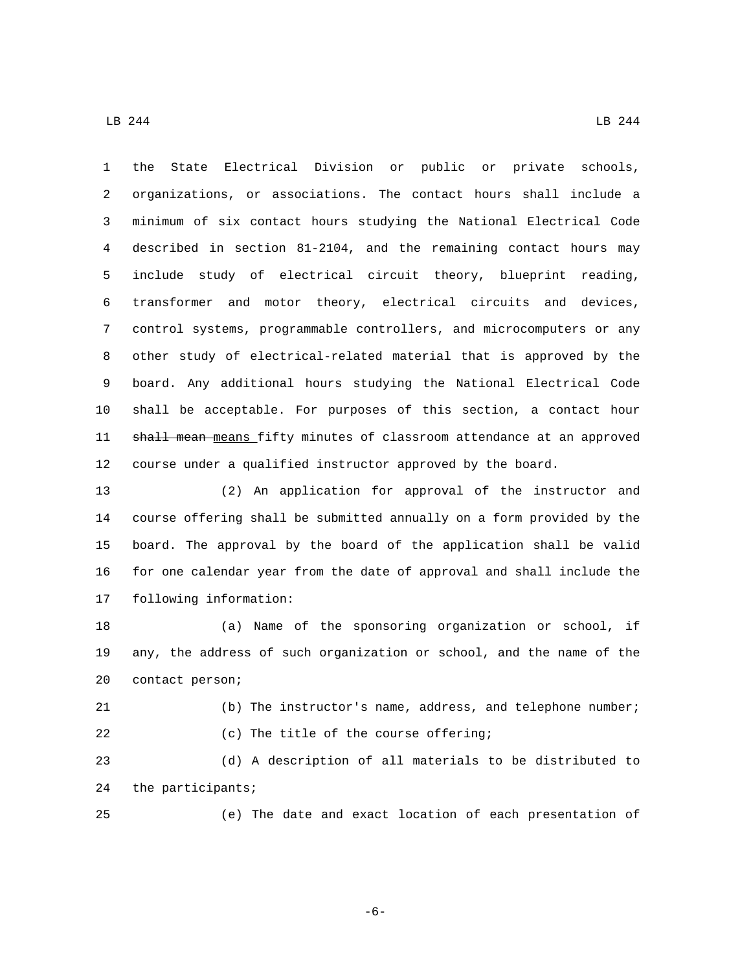the State Electrical Division or public or private schools, organizations, or associations. The contact hours shall include a minimum of six contact hours studying the National Electrical Code described in section 81-2104, and the remaining contact hours may include study of electrical circuit theory, blueprint reading, transformer and motor theory, electrical circuits and devices, control systems, programmable controllers, and microcomputers or any other study of electrical-related material that is approved by the board. Any additional hours studying the National Electrical Code shall be acceptable. For purposes of this section, a contact hour 11 shall mean means fifty minutes of classroom attendance at an approved course under a qualified instructor approved by the board.

 (2) An application for approval of the instructor and course offering shall be submitted annually on a form provided by the board. The approval by the board of the application shall be valid for one calendar year from the date of approval and shall include the 17 following information:

 (a) Name of the sponsoring organization or school, if any, the address of such organization or school, and the name of the 20 contact person;

 (b) The instructor's name, address, and telephone number; 22 (c) The title of the course offering;

 (d) A description of all materials to be distributed to 24 the participants;

(e) The date and exact location of each presentation of

-6-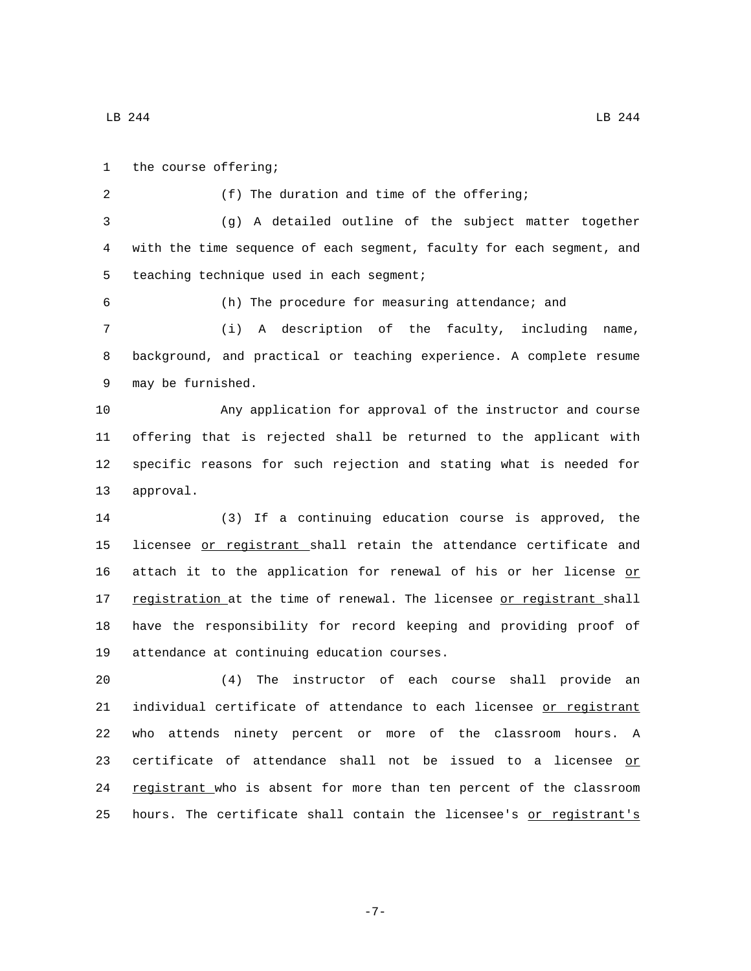1 the course offering; 2 (f) The duration and time of the offering; 3 (g) A detailed outline of the subject matter together 4 with the time sequence of each segment, faculty for each segment, and 5 teaching technique used in each segment; 6 (h) The procedure for measuring attendance; and 7 (i) A description of the faculty, including name, 8 background, and practical or teaching experience. A complete resume 9 may be furnished. 10 Any application for approval of the instructor and course 11 offering that is rejected shall be returned to the applicant with 12 specific reasons for such rejection and stating what is needed for 13 approval. 14 (3) If a continuing education course is approved, the 15 licensee or registrant shall retain the attendance certificate and 16 attach it to the application for renewal of his or her license or 17 registration at the time of renewal. The licensee or registrant shall 18 have the responsibility for record keeping and providing proof of 19 attendance at continuing education courses. 20 (4) The instructor of each course shall provide an 21 individual certificate of attendance to each licensee or registrant 22 who attends ninety percent or more of the classroom hours. A 23 certificate of attendance shall not be issued to a licensee or 24 registrant who is absent for more than ten percent of the classroom 25 hours. The certificate shall contain the licensee's or registrant's

-7-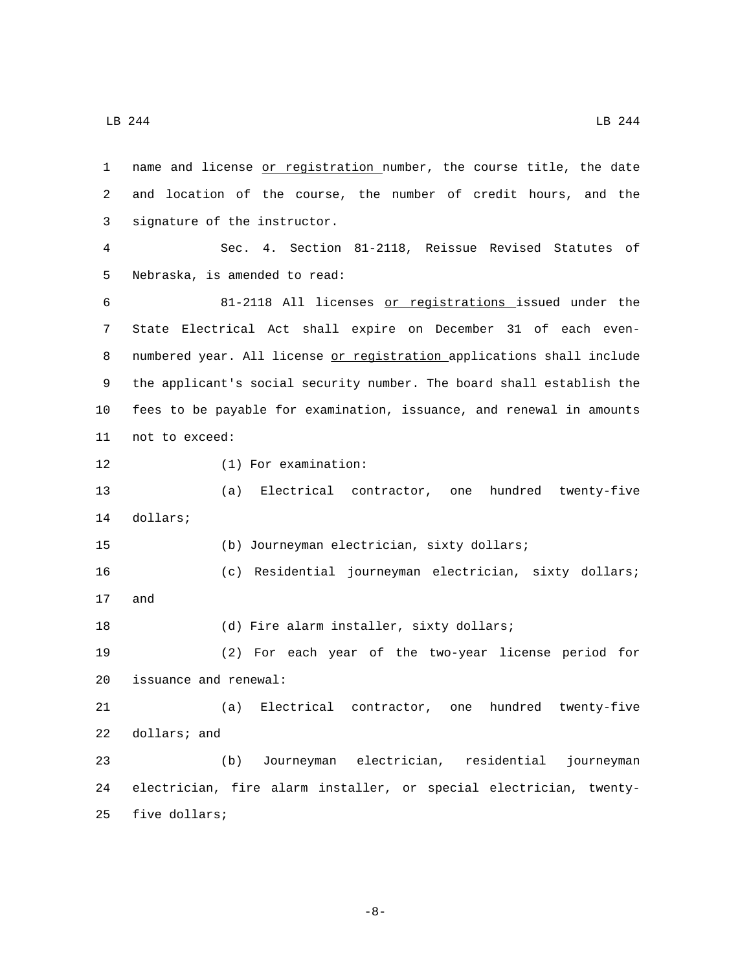1 name and license or registration number, the course title, the date 2 and location of the course, the number of credit hours, and the 3 signature of the instructor. 4 Sec. 4. Section 81-2118, Reissue Revised Statutes of 5 Nebraska, is amended to read: 6 81-2118 All licenses or registrations issued under the 7 State Electrical Act shall expire on December 31 of each even-8 numbered year. All license or registration applications shall include 9 the applicant's social security number. The board shall establish the 10 fees to be payable for examination, issuance, and renewal in amounts 11 not to exceed: 12 (1) For examination: 13 (a) Electrical contractor, one hundred twenty-five 14 dollars; 15 (b) Journeyman electrician, sixty dollars; 16 (c) Residential journeyman electrician, sixty dollars; 17 and 18 (d) Fire alarm installer, sixty dollars; 19 (2) For each year of the two-year license period for 20 issuance and renewal: 21 (a) Electrical contractor, one hundred twenty-five 22 dollars; and 23 (b) Journeyman electrician, residential journeyman 24 electrician, fire alarm installer, or special electrician, twenty-25 five dollars;

-8-